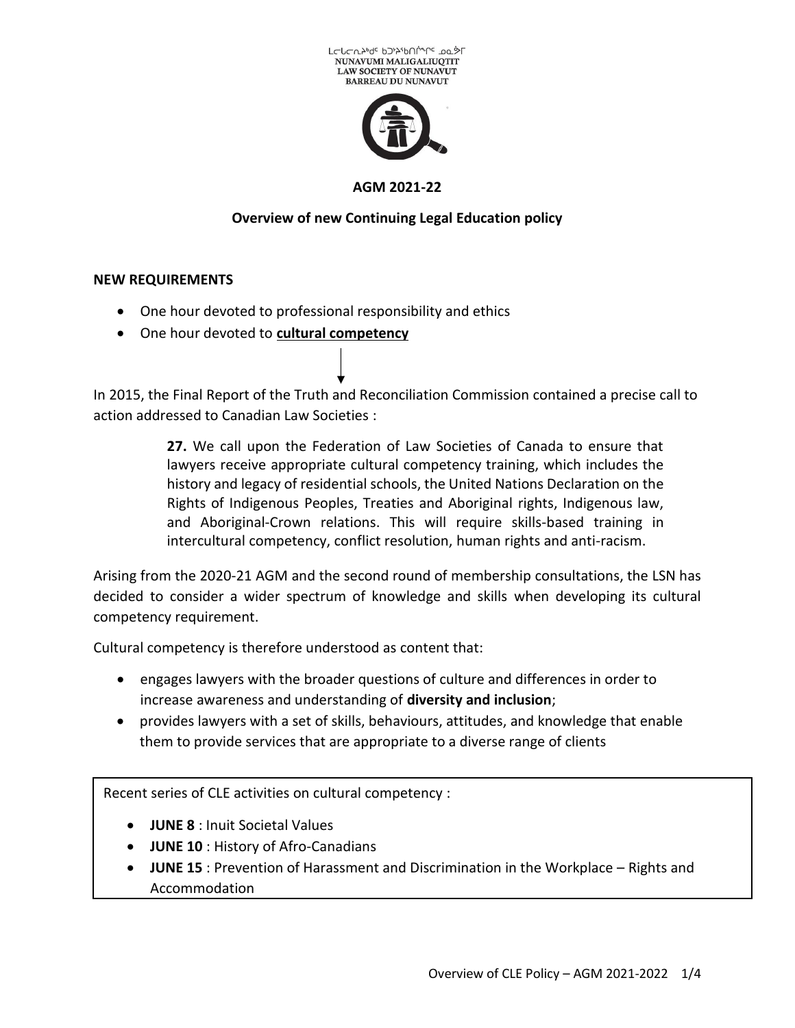



### **AGM 2021-22**

# **Overview of new Continuing Legal Education policy**

#### **NEW REQUIREMENTS**

- One hour devoted to professional responsibility and ethics
- One hour devoted to **cultural competency**

In 2015, the Final Report of the Truth and Reconciliation Commission contained a precise call to action addressed to Canadian Law Societies :

> **27.** We call upon the Federation of Law Societies of Canada to ensure that lawyers receive appropriate cultural competency training, which includes the history and legacy of residential schools, the United Nations Declaration on the Rights of Indigenous Peoples, Treaties and Aboriginal rights, Indigenous law, and Aboriginal-Crown relations. This will require skills-based training in intercultural competency, conflict resolution, human rights and anti-racism.

Arising from the 2020-21 AGM and the second round of membership consultations, the LSN has decided to consider a wider spectrum of knowledge and skills when developing its cultural competency requirement.

Cultural competency is therefore understood as content that:

- engages lawyers with the broader questions of culture and differences in order to increase awareness and understanding of **diversity and inclusion**;
- provides lawyers with a set of skills, behaviours, attitudes, and knowledge that enable them to provide services that are appropriate to a diverse range of clients

Recent series of CLE activities on cultural competency :

- **JUNE 8** : Inuit Societal Values
- **JUNE 10** : History of Afro-Canadians
- **JUNE 15** : Prevention of Harassment and Discrimination in the Workplace Rights and Accommodation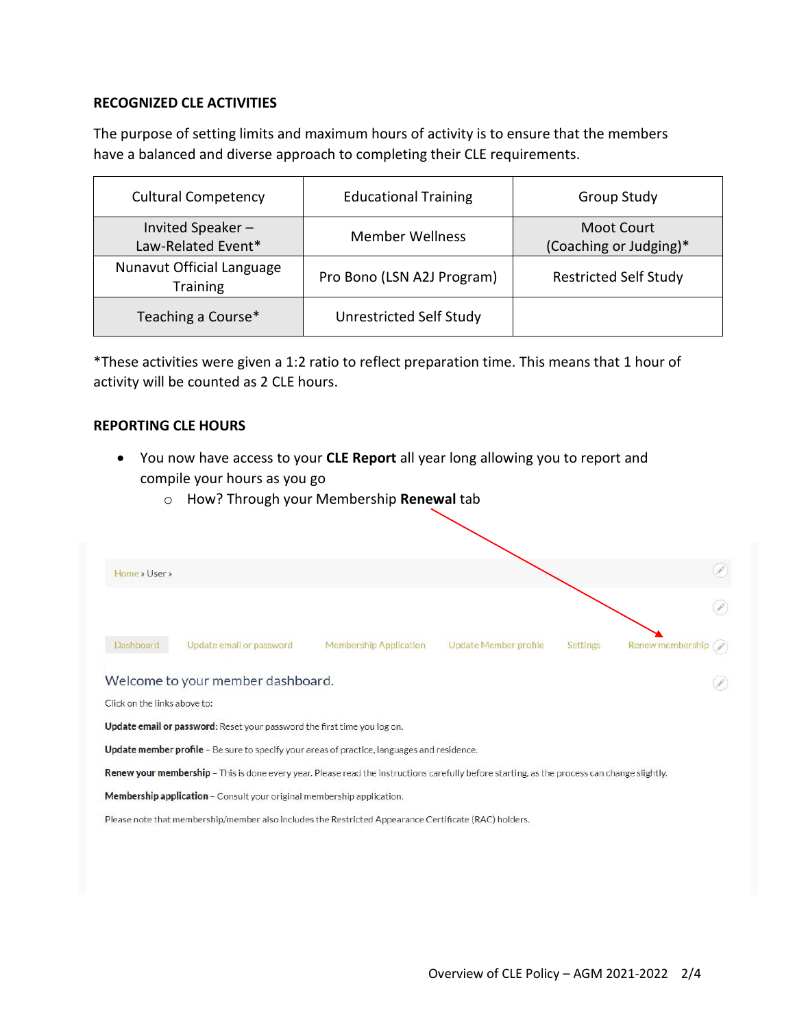## **RECOGNIZED CLE ACTIVITIES**

The purpose of setting limits and maximum hours of activity is to ensure that the members have a balanced and diverse approach to completing their CLE requirements.

| <b>Cultural Competency</b>                   | <b>Educational Training</b> | Group Study                          |
|----------------------------------------------|-----------------------------|--------------------------------------|
| Invited Speaker-<br>Law-Related Event*       | <b>Member Wellness</b>      | Moot Court<br>(Coaching or Judging)* |
| Nunavut Official Language<br><b>Training</b> | Pro Bono (LSN A2J Program)  | <b>Restricted Self Study</b>         |
| Teaching a Course*                           | Unrestricted Self Study     |                                      |

\*These activities were given a 1:2 ratio to reflect preparation time. This means that 1 hour of activity will be counted as 2 CLE hours.

#### **REPORTING CLE HOURS**

- You now have access to your **CLE Report** all year long allowing you to report and compile your hours as you go
	- o How? Through your Membership **Renewal** tab

| Home » User »                |                                                                                                                                                     |                               |                       |                 |                      |
|------------------------------|-----------------------------------------------------------------------------------------------------------------------------------------------------|-------------------------------|-----------------------|-----------------|----------------------|
|                              |                                                                                                                                                     |                               |                       |                 |                      |
| Dashboard                    | Update email or password                                                                                                                            | <b>Membership Application</b> | Update Member profile | <b>Settings</b> | <b>Renew members</b> |
|                              | Welcome to your member dashboard.                                                                                                                   |                               |                       |                 |                      |
| Click on the links above to: |                                                                                                                                                     |                               |                       |                 |                      |
|                              | Update email or password: Reset your password the first time you log on.                                                                            |                               |                       |                 |                      |
|                              | <b>Update member profile</b> - Be sure to specify your areas of practice, languages and residence.                                                  |                               |                       |                 |                      |
|                              | <b>Renew your membership</b> - This is done every year. Please read the instructions carefully before starting, as the process can change slightly. |                               |                       |                 |                      |
|                              | Membership application - Consult your original membership application.                                                                              |                               |                       |                 |                      |
|                              |                                                                                                                                                     |                               |                       |                 |                      |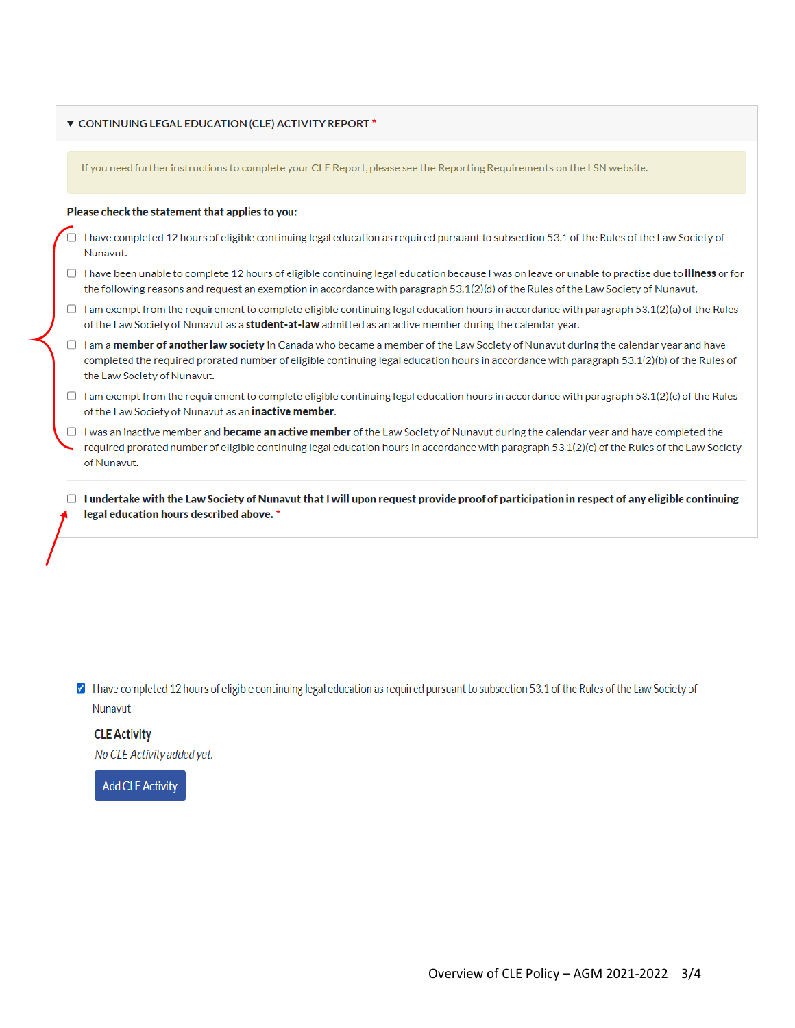|        | ▼ CONTINUING LEGAL EDUCATION (CLE) ACTIVITY REPORT *                                                                                                                                                                                                                                                             |
|--------|------------------------------------------------------------------------------------------------------------------------------------------------------------------------------------------------------------------------------------------------------------------------------------------------------------------|
|        | If you need further instructions to complete your CLE Report, please see the Reporting Requirements on the LSN website.                                                                                                                                                                                          |
|        | Please check the statement that applies to you:                                                                                                                                                                                                                                                                  |
|        | I have completed 12 hours of eligible continuing legal education as required pursuant to subsection 53.1 of the Rules of the Law Society of<br>Nunavut.                                                                                                                                                          |
| $\Box$ | I have been unable to complete 12 hours of eligible continuing legal education because I was on leave or unable to practise due to <b>illness</b> or for<br>the following reasons and request an exemption in accordance with paragraph 53.1(2)(d) of the Rules of the Law Society of Nunavut.                   |
| $\Box$ | I am exempt from the requirement to complete eligible continuing legal education hours in accordance with paragraph 53.1(2)(a) of the Rules<br>of the Law Society of Nunavut as a <b>student-at-law</b> admitted as an active member during the calendar year.                                                   |
| $\Box$ | I am a member of another law society in Canada who became a member of the Law Society of Nunavut during the calendar year and have<br>completed the required prorated number of eligible continuing legal education hours in accordance with paragraph 53.1(2)(b) of the Rules of<br>the Law Society of Nunavut. |
| $\Box$ | I am exempt from the requirement to complete eligible continuing legal education hours in accordance with paragraph 53.1(2)(c) of the Rules<br>of the Law Society of Nunavut as an <b>inactive member</b> .                                                                                                      |
|        | I was an inactive member and <b>became an active member</b> of the Law Society of Nunavut during the calendar year and have completed the<br>required prorated number of eligible continuing legal education hours in accordance with paragraph 53.1(2)(c) of the Rules of the Law Society<br>of Nunavut.        |
| u      | I undertake with the Law Society of Nunavut that I will upon request provide proof of participation in respect of any eligible continuing<br>legal education hours described above. *                                                                                                                            |

◘ I have completed 12 hours of eligible continuing legal education as required pursuant to subsection 53.1 of the Rules of the Law Society of Nunavut.

# **CLE Activity**

No CLE Activity added yet.